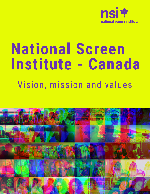

# **National Screen Institute - Canada** Vision, mission and values

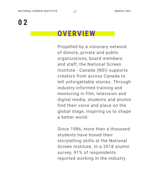# **0 2**

#### **OVERVIEW**

Propelled by a visionary network of donors, private and public organizations, board members and staff, the National Screen Institute - Canada (NSI) supports creators from across Canada to tell unforgettable stories. Through industry-informed training and mentoring in film, television and digital media, students and alumni find their voice and place on the global stage, inspiring us to shape a better world.

Since 1986, more than a thousand students have honed their storytelling skills at the National Screen Institute. In a 2018 alumni survey, 91% of respondents reported working in the industry.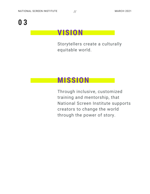# **0 3**

#### **VISION**

Storytellers create a culturally equitable world.

## **MISSION**

Through inclusive, customized training and mentorship, that National Screen Institute supports creators to change the world through the power of story.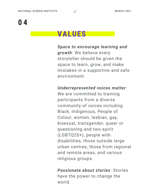## **VALUES**

*Space to encourage learning and growth*: We believe every storyteller should be given the space to learn, grow, and make mistakes in a supportive and safe environment.

*Underrepresented voices matter*:

We are committed to training participants from a diverse community of voices including Black, Indigenous, People of Colour, women, lesbian, gay, bisexual, transgender, queer or questioning and two-spirit (LGBTQ2S+), people with disabilities, those outside large urban centres, those from regional and remote areas, and various religious groups.

*Passionate about stories*: Stories have the power to change the world.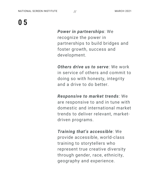

*Power in partnerships*: We recognize the power in partnerships to build bridges and foster growth, success and development.

*Others drive us to serve*: We work in service of others and commit to doing so with honesty, integrity and a drive to do better.

*Responsive to market trends*: We are responsive to and in tune with domestic and international market trends to deliver relevant, marketdriven programs.

*Training that's accessible*: We provide accessible, world-class training to storytellers who represent true creative diversity through gender, race, ethnicity, geography and experience.